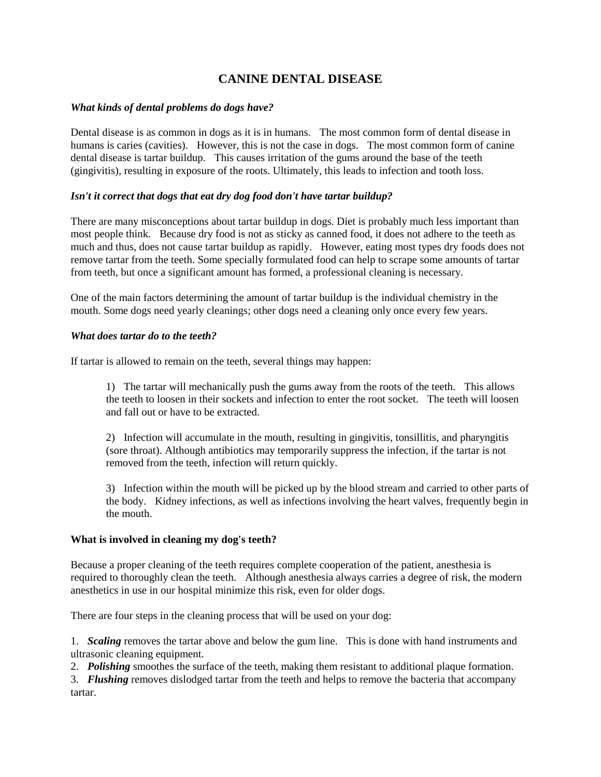# **CANINE DENTAL DISEASE**

## *What kinds of dental problems do dogs have?*

Dental disease is as common in dogs as it is in humans. The most common form of dental disease in humans is caries (cavities). However, this is not the case in dogs. The most common form of canine dental disease is tartar buildup. This causes irritation of the gums around the base of the teeth (gingivitis), resulting in exposure of the roots. Ultimately, this leads to infection and tooth loss.

### *Isn't it correct that dogs that eat dry dog food don't have tartar buildup?*

There are many misconceptions about tartar buildup in dogs. Diet is probably much less important than most people think. Because dry food is not as sticky as canned food, it does not adhere to the teeth as much and thus, does not cause tartar buildup as rapidly. However, eating most types dry foods does not remove tartar from the teeth. Some specially formulated food can help to scrape some amounts of tartar from teeth, but once a significant amount has formed, a professional cleaning is necessary.

One of the main factors determining the amount of tartar buildup is the individual chemistry in the mouth. Some dogs need yearly cleanings; other dogs need a cleaning only once every few years.

### *What does tartar do to the teeth?*

If tartar is allowed to remain on the teeth, several things may happen:

1) The tartar will mechanically push the gums away from the roots of the teeth. This allows the teeth to loosen in their sockets and infection to enter the root socket. The teeth will loosen and fall out or have to be extracted.

2) Infection will accumulate in the mouth, resulting in gingivitis, tonsillitis, and pharyngitis (sore throat). Although antibiotics may temporarily suppress the infection, if the tartar is not removed from the teeth, infection will return quickly.

3) Infection within the mouth will be picked up by the blood stream and carried to other parts of the body. Kidney infections, as well as infections involving the heart valves, frequently begin in the mouth.

### **What is involved in cleaning my dog's teeth?**

Because a proper cleaning of the teeth requires complete cooperation of the patient, anesthesia is required to thoroughly clean the teeth. Although anesthesia always carries a degree of risk, the modern anesthetics in use in our hospital minimize this risk, even for older dogs.

There are four steps in the cleaning process that will be used on your dog:

1. *Scaling* removes the tartar above and below the gum line. This is done with hand instruments and ultrasonic cleaning equipment.

2. *Polishing* smoothes the surface of the teeth, making them resistant to additional plaque formation.

3. *Flushing* removes dislodged tartar from the teeth and helps to remove the bacteria that accompany tartar.